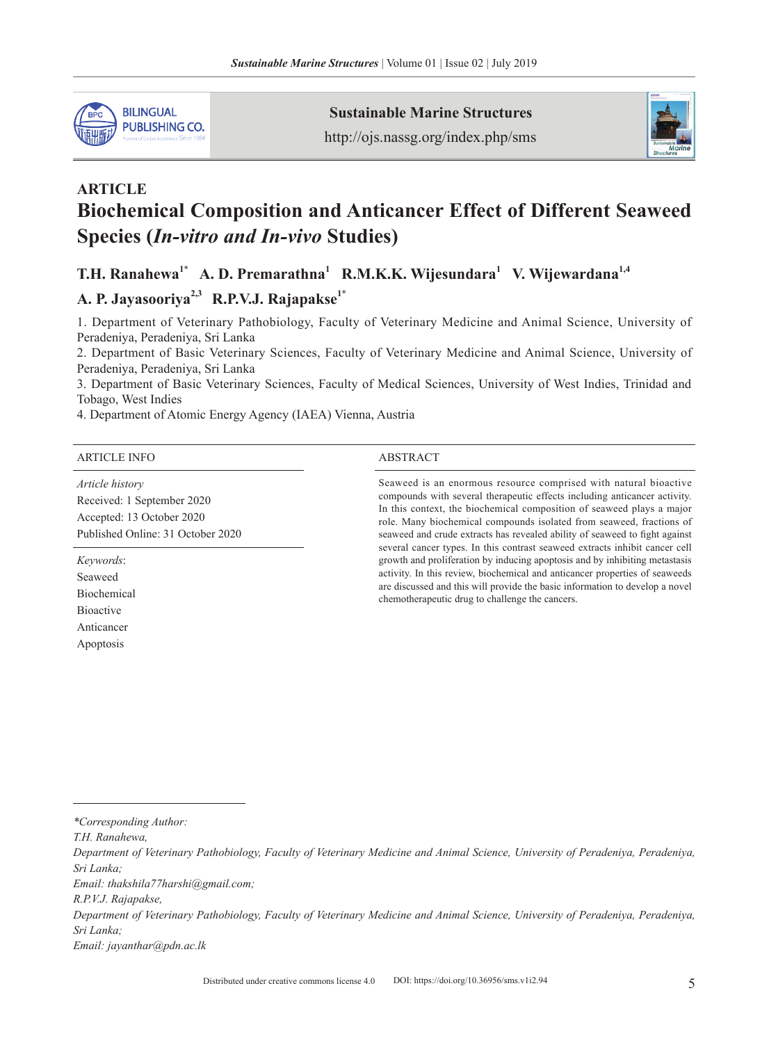

**Sustainable Marine Structures**

http://ojs.nassg.org/index.php/sms



# **ARTICLE Biochemical Composition and Anticancer Effect of Different Seaweed Species (***In-vitro and In-vivo* **Studies)**

 $T.H.$  Ranahewa<sup>1\*</sup> A.D. Premarathna<sup>1</sup> R.M.K.K. Wijesundara<sup>1</sup> V. Wijewardana<sup>1,4</sup>

## A. P. Jayasooriya<sup>2,3</sup> R.P.V.J. Rajapakse<sup>1\*</sup>

1. Department of Veterinary Pathobiology, Faculty of Veterinary Medicine and Animal Science, University of Peradeniya, Peradeniya, Sri Lanka

2. Department of Basic Veterinary Sciences, Faculty of Veterinary Medicine and Animal Science, University of Peradeniya, Peradeniya, Sri Lanka

3. Department of Basic Veterinary Sciences, Faculty of Medical Sciences, University of West Indies, Trinidad and Tobago, West Indies

4. Department of Atomic Energy Agency (IAEA) Vienna, Austria

#### ARTICLE INFO ABSTRACT

*Article history* Received: 1 September 2020 Accepted: 13 October 2020 Published Online: 31 October 2020

*Keywords*: Seaweed Biochemical Bioactive Anticancer Apoptosis

Seaweed is an enormous resource comprised with natural bioactive compounds with several therapeutic effects including anticancer activity. In this context, the biochemical composition of seaweed plays a major role. Many biochemical compounds isolated from seaweed, fractions of seaweed and crude extracts has revealed ability of seaweed to fight against several cancer types. In this contrast seaweed extracts inhibit cancer cell growth and proliferation by inducing apoptosis and by inhibiting metastasis activity. In this review, biochemical and anticancer properties of seaweeds are discussed and this will provide the basic information to develop a novel chemotherapeutic drug to challenge the cancers.

*\*Corresponding Author:*

*T.H. Ranahewa,* 

*Department of Veterinary Pathobiology, Faculty of Veterinary Medicine and Animal Science, University of Peradeniya, Peradeniya, Sri Lanka;* 

*Email: thakshila77harshi@gmail.com;* 

*R.P.V.J. Rajapakse,* 

*Department of Veterinary Pathobiology, Faculty of Veterinary Medicine and Animal Science, University of Peradeniya, Peradeniya, Sri Lanka;* 

*Email: jayanthar@pdn.ac.lk*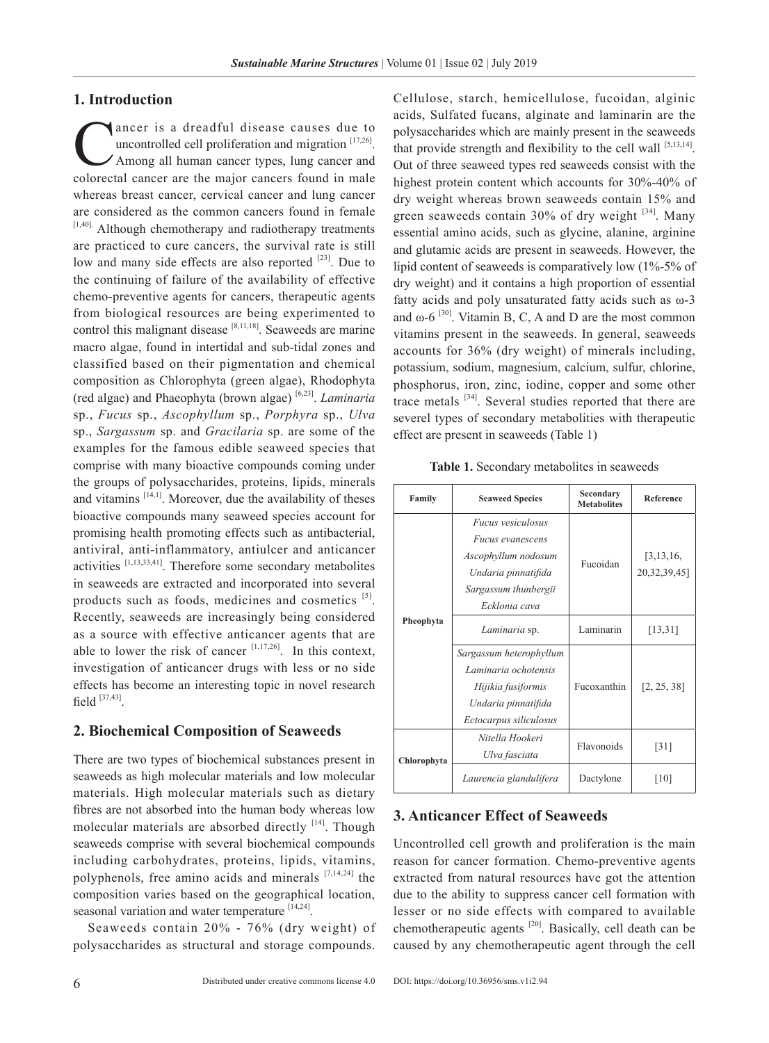#### **1. Introduction**

ancer is a dreadful disease causes due to<br>uncontrolled cell proliferation and migration  $^{[17,26]}$ .<br>Among all human cancer types, lung cancer and<br>colorectal cancer are the maior cancers found in male uncontrolled cell proliferation and migration [17,26]. Among all human cancer types, lung cancer and colorectal cancer are the major cancers found in male whereas breast cancer, cervical cancer and lung cancer are considered as the common cancers found in female [1,40]. Although chemotherapy and radiotherapy treatments are practiced to cure cancers, the survival rate is still low and many side effects are also reported <sup>[23]</sup>. Due to the continuing of failure of the availability of effective chemo-preventive agents for cancers, therapeutic agents from biological resources are being experimented to control this malignant disease [8,11,18]. Seaweeds are marine macro algae, found in intertidal and sub-tidal zones and classified based on their pigmentation and chemical composition as Chlorophyta (green algae), Rhodophyta (red algae) and Phaeophyta (brown algae) [6,23]. *Laminaria* sp., *Fucus* sp., *Ascophyllum* sp., *Porphyra* sp., *Ulva* sp., *Sargassum* sp. and *Gracilaria* sp. are some of the examples for the famous edible seaweed species that comprise with many bioactive compounds coming under the groups of polysaccharides, proteins, lipids, minerals and vitamins  $[14,1]$ . Moreover, due the availability of theses bioactive compounds many seaweed species account for promising health promoting effects such as antibacterial, antiviral, anti-inflammatory, antiulcer and anticancer activities [1,13,33,41]. Therefore some secondary metabolites in seaweeds are extracted and incorporated into several products such as foods, medicines and cosmetics [5]. Recently, seaweeds are increasingly being considered as a source with effective anticancer agents that are able to lower the risk of cancer  $[1,17,26]$ . In this context, investigation of anticancer drugs with less or no side effects has become an interesting topic in novel research field [37,43].

#### **2. Biochemical Composition of Seaweeds**

There are two types of biochemical substances present in seaweeds as high molecular materials and low molecular materials. High molecular materials such as dietary fibres are not absorbed into the human body whereas low molecular materials are absorbed directly  $[14]$ . Though seaweeds comprise with several biochemical compounds including carbohydrates, proteins, lipids, vitamins, polyphenols, free amino acids and minerals  $[7,14,24]$  the composition varies based on the geographical location, seasonal variation and water temperature [14,24].

Seaweeds contain 20% - 76% (dry weight) of polysaccharides as structural and storage compounds. Cellulose, starch, hemicellulose, fucoidan, alginic acids, Sulfated fucans, alginate and laminarin are the polysaccharides which are mainly present in the seaweeds that provide strength and flexibility to the cell wall  $[5,13,14]$ . Out of three seaweed types red seaweeds consist with the highest protein content which accounts for 30%-40% of dry weight whereas brown seaweeds contain 15% and green seaweeds contain  $30\%$  of dry weight  $^{[34]}$ . Many essential amino acids, such as glycine, alanine, arginine and glutamic acids are present in seaweeds. However, the lipid content of seaweeds is comparatively low (1%-5% of dry weight) and it contains a high proportion of essential fatty acids and poly unsaturated fatty acids such as ω-3 and  $\omega$ -6<sup>[30]</sup>. Vitamin B, C, A and D are the most common vitamins present in the seaweeds. In general, seaweeds accounts for 36% (dry weight) of minerals including, potassium, sodium, magnesium, calcium, sulfur, chlorine, phosphorus, iron, zinc, iodine, copper and some other trace metals [34]. Several studies reported that there are severel types of secondary metabolities with therapeutic effect are present in seaweeds (Table 1)

**Table 1.** Secondary metabolites in seaweeds

| Family      | <b>Seaweed Species</b>   | Secondary<br><b>Metabolites</b> | <b>Reference</b>               |  |
|-------------|--------------------------|---------------------------------|--------------------------------|--|
| Pheophyta   | <i>Fucus vesiculosus</i> |                                 | [3, 13, 16,<br>20, 32, 39, 45] |  |
|             | <i>Fucus evanescens</i>  |                                 |                                |  |
|             | Ascophyllum nodosum      | Fucoidan                        |                                |  |
|             | Undaria pinnatifida      |                                 |                                |  |
|             | Sargassum thunbergii     |                                 |                                |  |
|             | Ecklonia cava            |                                 |                                |  |
|             | Laminaria sp.            | Laminarin                       | [13, 31]                       |  |
|             | Sargassum heterophyllum  |                                 | [2, 25, 38]                    |  |
|             | Laminaria ochotensis     |                                 |                                |  |
|             | Hijikia fusiformis       | Fucoxanthin                     |                                |  |
|             | Undaria pinnatifida      |                                 |                                |  |
|             | Ectocarpus siliculosus   |                                 |                                |  |
|             | Nitella Hookeri          | Flavonoids                      | $\lceil 31 \rceil$             |  |
| Chlorophyta | Ulva fasciata            |                                 |                                |  |
|             | Laurencia glandulifera   | Dactylone                       | [10]                           |  |

#### **3. Anticancer Effect of Seaweeds**

Uncontrolled cell growth and proliferation is the main reason for cancer formation. Chemo-preventive agents extracted from natural resources have got the attention due to the ability to suppress cancer cell formation with lesser or no side effects with compared to available chemotherapeutic agents [20]. Basically, cell death can be caused by any chemotherapeutic agent through the cell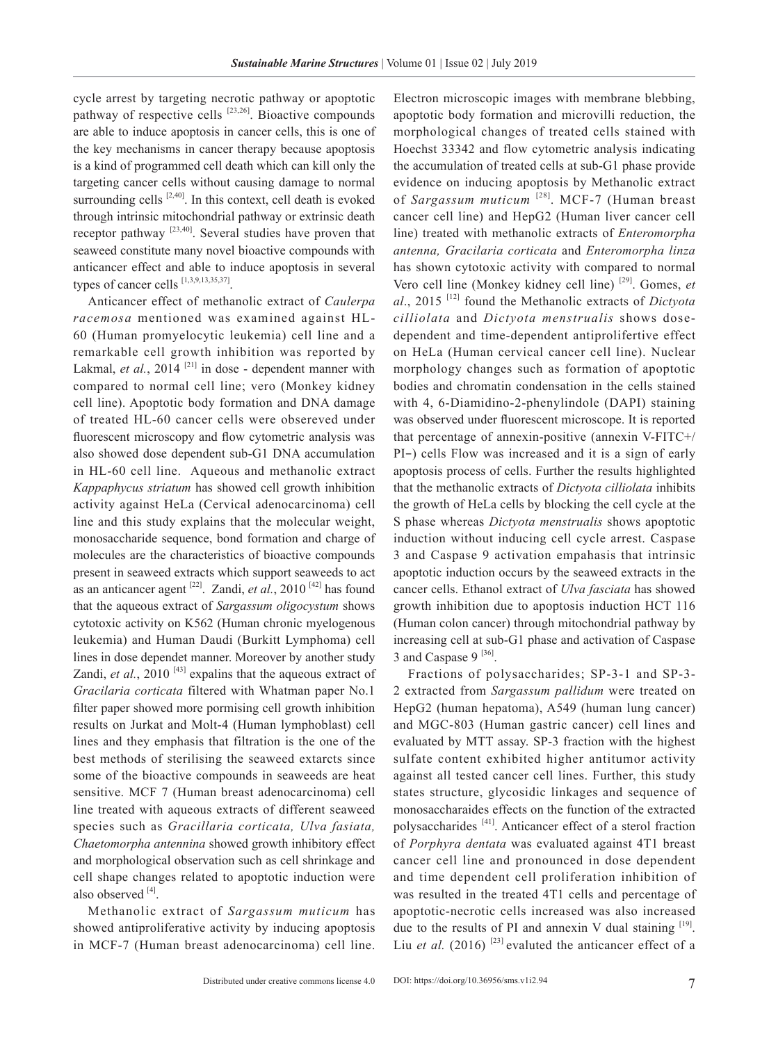cycle arrest by targeting necrotic pathway or apoptotic pathway of respective cells  $[23,26]$ . Bioactive compounds are able to induce apoptosis in cancer cells, this is one of the key mechanisms in cancer therapy because apoptosis is a kind of programmed cell death which can kill only the targeting cancer cells without causing damage to normal surrounding cells  $[2,40]$ . In this context, cell death is evoked through intrinsic mitochondrial pathway or extrinsic death receptor pathway [23,40]. Several studies have proven that seaweed constitute many novel bioactive compounds with anticancer effect and able to induce apoptosis in several types of cancer cells [1,3,9,13,35,37].

Anticancer effect of methanolic extract of *Caulerpa racemosa* mentioned was examined against HL-60 (Human promyelocytic leukemia) cell line and a remarkable cell growth inhibition was reported by Lakmal, *et al.*, 2014<sup>[21]</sup> in dose - dependent manner with compared to normal cell line; vero (Monkey kidney cell line). Apoptotic body formation and DNA damage of treated HL-60 cancer cells were obsereved under fluorescent microscopy and flow cytometric analysis was also showed dose dependent sub-G1 DNA accumulation in HL-60 cell line. Aqueous and methanolic extract *Kappaphycus striatum* has showed cell growth inhibition activity against HeLa (Cervical adenocarcinoma) cell line and this study explains that the molecular weight, monosaccharide sequence, bond formation and charge of molecules are the characteristics of bioactive compounds present in seaweed extracts which support seaweeds to act as an anticancer agent [22]. Zandi, *et al.*, 2010 [42] has found that the aqueous extract of *Sargassum oligocystum* shows cytotoxic activity on K562 (Human chronic myelogenous leukemia) and Human Daudi (Burkitt Lymphoma) cell lines in dose dependet manner. Moreover by another study Zandi, *et al.*, 2010<sup>[43]</sup> expalins that the aqueous extract of *Gracilaria corticata* filtered with Whatman paper No.1 filter paper showed more pormising cell growth inhibition results on Jurkat and Molt-4 (Human lymphoblast) cell lines and they emphasis that filtration is the one of the best methods of sterilising the seaweed extarcts since some of the bioactive compounds in seaweeds are heat sensitive. MCF 7 (Human breast adenocarcinoma) cell line treated with aqueous extracts of different seaweed species such as *Gracillaria corticata, Ulva fasiata, Chaetomorpha antennina* showed growth inhibitory effect and morphological observation such as cell shrinkage and cell shape changes related to apoptotic induction were also observed  $[4]$ .

Methanolic extract of *Sargassum muticum* has showed antiproliferative activity by inducing apoptosis in MCF-7 (Human breast adenocarcinoma) cell line. Electron microscopic images with membrane blebbing, apoptotic body formation and microvilli reduction, the morphological changes of treated cells stained with Hoechst 33342 and flow cytometric analysis indicating the accumulation of treated cells at sub-G1 phase provide evidence on inducing apoptosis by Methanolic extract of *Sargassum muticum*<sup>[28]</sup>. MCF-7 (Human breast cancer cell line) and HepG2 (Human liver cancer cell line) treated with methanolic extracts of *Enteromorpha antenna, Gracilaria corticata* and *Enteromorpha linza* has shown cytotoxic activity with compared to normal Vero cell line (Monkey kidney cell line) [29]. Gomes, *et al*., 2015 [12] found the Methanolic extracts of *Dictyota cilliolata* and *Dictyota menstrualis* shows dosedependent and time-dependent antiprolifertive effect on HeLa (Human cervical cancer cell line). Nuclear morphology changes such as formation of apoptotic bodies and chromatin condensation in the cells stained with 4, 6-Diamidino-2-phenylindole (DAPI) staining was observed under fluorescent microscope. It is reported that percentage of annexin-positive (annexin V-FITC+/ PI−) cells Flow was increased and it is a sign of early apoptosis process of cells. Further the results highlighted that the methanolic extracts of *Dictyota cilliolata* inhibits the growth of HeLa cells by blocking the cell cycle at the S phase whereas *Dictyota menstrualis* shows apoptotic induction without inducing cell cycle arrest. Caspase 3 and Caspase 9 activation empahasis that intrinsic apoptotic induction occurs by the seaweed extracts in the cancer cells. Ethanol extract of *Ulva fasciata* has showed growth inhibition due to apoptosis induction HCT 116 (Human colon cancer) through mitochondrial pathway by increasing cell at sub-G1 phase and activation of Caspase 3 and Caspase  $9^{[36]}$ .

Fractions of polysaccharides; SP-3-1 and SP-3- 2 extracted from *Sargassum pallidum* were treated on HepG2 (human hepatoma), A549 (human lung cancer) and MGC-803 (Human gastric cancer) cell lines and evaluated by MTT assay. SP-3 fraction with the highest sulfate content exhibited higher antitumor activity against all tested cancer cell lines. Further, this study states structure, glycosidic linkages and sequence of monosaccharaides effects on the function of the extracted polysaccharides [41]. Anticancer effect of a sterol fraction of *Porphyra dentata* was evaluated against 4T1 breast cancer cell line and pronounced in dose dependent and time dependent cell proliferation inhibition of was resulted in the treated 4T1 cells and percentage of apoptotic-necrotic cells increased was also increased due to the results of PI and annexin V dual staining  $[19]$ . Liu *et al.* (2016)<sup>[23]</sup> evaluted the anticancer effect of a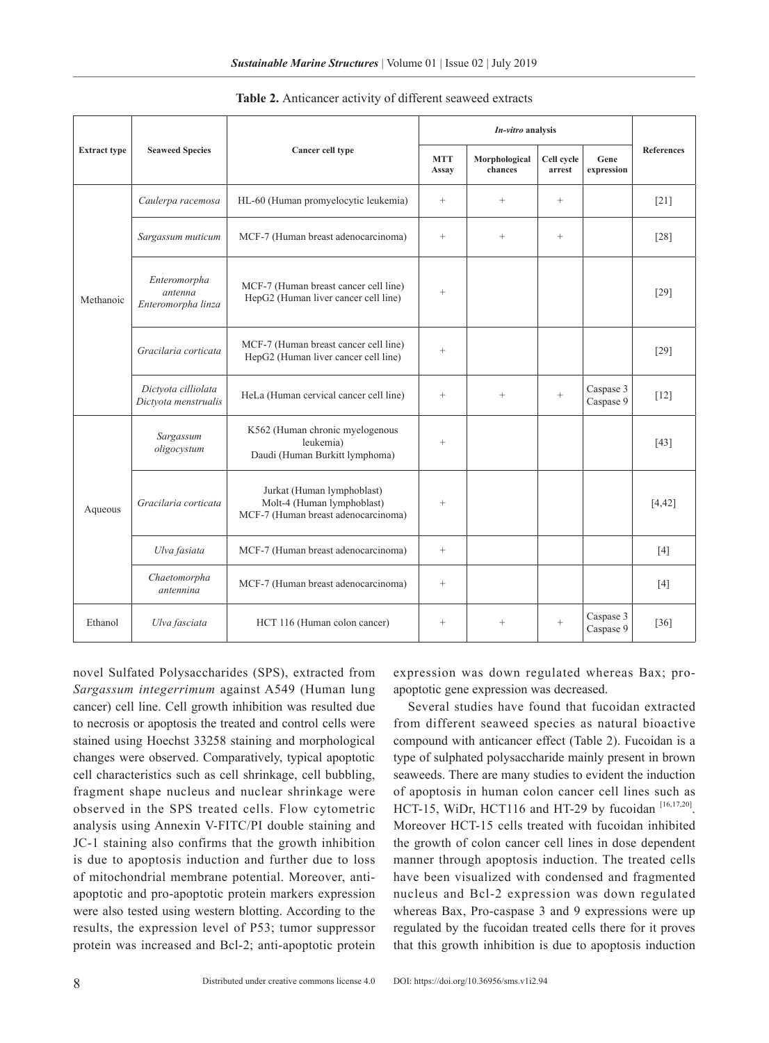|                     |                                               |                                                                                                 | In-vitro analysis   |                          |                      |                        |                   |
|---------------------|-----------------------------------------------|-------------------------------------------------------------------------------------------------|---------------------|--------------------------|----------------------|------------------------|-------------------|
| <b>Extract type</b> | <b>Seaweed Species</b>                        | Cancer cell type                                                                                | <b>MTT</b><br>Assay | Morphological<br>chances | Cell cycle<br>arrest | Gene<br>expression     | <b>References</b> |
| Methanoic           | Caulerpa racemosa                             | HL-60 (Human promyelocytic leukemia)                                                            | $\! + \!\!\!\!$     | $\qquad \qquad +$        | $\qquad \qquad +$    |                        | $[21]$            |
|                     | Sargassum muticum                             | MCF-7 (Human breast adenocarcinoma)                                                             | $\qquad \qquad +$   | $\qquad \qquad +$        | $^{+}$               |                        | $[28]$            |
|                     | Enteromorpha<br>antenna<br>Enteromorpha linza | MCF-7 (Human breast cancer cell line)<br>HepG2 (Human liver cancer cell line)                   | $^{+}$              |                          |                      |                        | $[29]$            |
|                     | Gracilaria corticata                          | MCF-7 (Human breast cancer cell line)<br>HepG2 (Human liver cancer cell line)                   | $\qquad \qquad +$   |                          |                      |                        | $[29]$            |
|                     | Dictyota cilliolata<br>Dictyota menstrualis   | HeLa (Human cervical cancer cell line)                                                          | $\qquad \qquad +$   | $^{+}$                   | $^{+}$               | Caspase 3<br>Caspase 9 | $[12]$            |
| Aqueous             | Sargassum<br>oligocystum                      | K562 (Human chronic myelogenous<br>leukemia)<br>Daudi (Human Burkitt lymphoma)                  |                     |                          |                      |                        | $[43]$            |
|                     | Gracilaria corticata                          | Jurkat (Human lymphoblast)<br>Molt-4 (Human lymphoblast)<br>MCF-7 (Human breast adenocarcinoma) | $^{+}$              |                          |                      |                        | [4, 42]           |
|                     | Ulva fasiata                                  | MCF-7 (Human breast adenocarcinoma)                                                             | $\qquad \qquad +$   |                          |                      |                        | $[4]$             |
|                     | Chaetomorpha<br>antennina                     | MCF-7 (Human breast adenocarcinoma)                                                             | $\qquad \qquad +$   |                          |                      |                        | [4]               |
| Ethanol             | Ulva fasciata                                 | HCT 116 (Human colon cancer)                                                                    | $\qquad \qquad +$   | $^{+}$                   | $^{+}$               | Caspase 3<br>Caspase 9 | $[36]$            |

**Table 2.** Anticancer activity of different seaweed extracts

novel Sulfated Polysaccharides (SPS), extracted from *Sargassum integerrimum* against A549 (Human lung cancer) cell line. Cell growth inhibition was resulted due to necrosis or apoptosis the treated and control cells were stained using Hoechst 33258 staining and morphological changes were observed. Comparatively, typical apoptotic cell characteristics such as cell shrinkage, cell bubbling, fragment shape nucleus and nuclear shrinkage were observed in the SPS treated cells. Flow cytometric analysis using Annexin V-FITC/PI double staining and JC-1 staining also confirms that the growth inhibition is due to apoptosis induction and further due to loss of mitochondrial membrane potential. Moreover, antiapoptotic and pro-apoptotic protein markers expression were also tested using western blotting. According to the results, the expression level of P53; tumor suppressor protein was increased and Bcl-2; anti-apoptotic protein

expression was down regulated whereas Bax; proapoptotic gene expression was decreased.

Several studies have found that fucoidan extracted from different seaweed species as natural bioactive compound with anticancer effect (Table 2). Fucoidan is a type of sulphated polysaccharide mainly present in brown seaweeds. There are many studies to evident the induction of apoptosis in human colon cancer cell lines such as HCT-15, WiDr, HCT116 and HT-29 by fucoidan [16,17,20]. Moreover HCT-15 cells treated with fucoidan inhibited the growth of colon cancer cell lines in dose dependent manner through apoptosis induction. The treated cells have been visualized with condensed and fragmented nucleus and Bcl-2 expression was down regulated whereas Bax, Pro-caspase 3 and 9 expressions were up regulated by the fucoidan treated cells there for it proves that this growth inhibition is due to apoptosis induction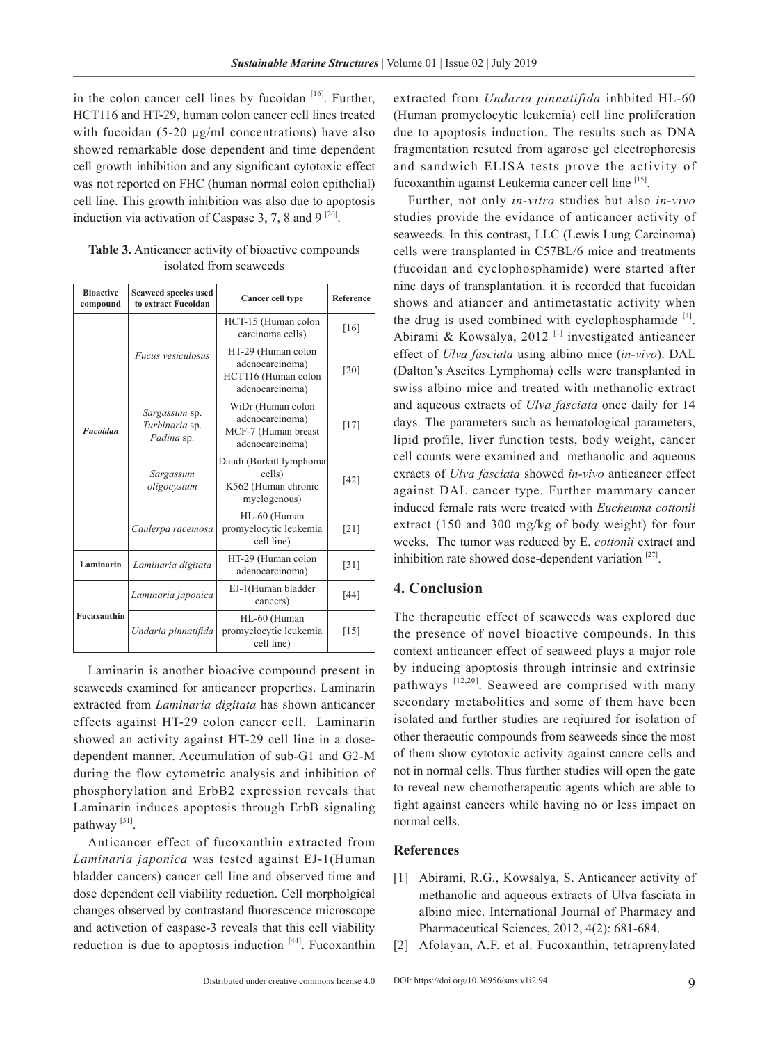in the colon cancer cell lines by fucoidan  $[16]$ . Further, HCT116 and HT-29, human colon cancer cell lines treated with fucoidan (5-20 µg/ml concentrations) have also showed remarkable dose dependent and time dependent cell growth inhibition and any significant cytotoxic effect was not reported on FHC (human normal colon epithelial) cell line. This growth inhibition was also due to apoptosis induction via activation of Caspase 3, 7, 8 and 9  $^{[20]}$ .

| <b>Bioactive</b><br>compound | Seaweed species used<br>to extract Fucoidan   | <b>Cancer cell type</b>                                                         | Reference          |
|------------------------------|-----------------------------------------------|---------------------------------------------------------------------------------|--------------------|
| <b>Fucoidan</b>              |                                               | HCT-15 (Human colon<br>carcinoma cells)                                         | [16]               |
|                              | <i>Fucus vesiculosus</i>                      | HT-29 (Human colon<br>adenocarcinoma)<br>HCT116 (Human colon<br>adenocarcinoma) | $\lceil 20 \rceil$ |
|                              | Sargassum sp.<br>Turbinaria sp.<br>Padina sp. | WiDr (Human colon<br>adenocarcinoma)<br>MCF-7 (Human breast<br>adenocarcinoma)  | $[17]$             |
|                              | Sargassum<br>oligocystum                      | Daudi (Burkitt lymphoma<br>cells)<br>K562 (Human chronic<br>myelogenous)        | [42]               |
|                              | Caulerpa racemosa                             | HL-60 (Human<br>promyelocytic leukemia<br>cell line)                            | $[21]$             |
| Laminarin                    | Laminaria digitata                            | HT-29 (Human colon<br>adenocarcinoma)                                           | $[31]$             |
|                              | Laminaria japonica                            | EJ-1(Human bladder<br>cancers)                                                  | [44]               |
| Fucaxanthin                  | Undaria pinnatifida                           | HL-60 (Human<br>promyelocytic leukemia<br>cell line)                            | [15]               |

**Table 3.** Anticancer activity of bioactive compounds isolated from seaweeds

Laminarin is another bioacive compound present in seaweeds examined for anticancer properties. Laminarin extracted from *Laminaria digitata* has shown anticancer effects against HT-29 colon cancer cell. Laminarin showed an activity against HT-29 cell line in a dosedependent manner. Accumulation of sub-G1 and G2-M during the flow cytometric analysis and inhibition of phosphorylation and ErbB2 expression reveals that Laminarin induces apoptosis through ErbB signaling pathway [31].

Anticancer effect of fucoxanthin extracted from *Laminaria japonica* was tested against EJ-1(Human bladder cancers) cancer cell line and observed time and dose dependent cell viability reduction. Cell morpholgical changes observed by contrastand fluorescence microscope and activetion of caspase-3 reveals that this cell viability reduction is due to apoptosis induction  $[44]$ . Fucoxanthin

extracted from *Undaria pinnatifida* inhbited HL-60 (Human promyelocytic leukemia) cell line proliferation due to apoptosis induction. The results such as DNA fragmentation resuted from agarose gel electrophoresis and sandwich ELISA tests prove the activity of fucoxanthin against Leukemia cancer cell line [15].

Further, not only *in-vitro* studies but also *in-vivo*  studies provide the evidance of anticancer activity of seaweeds. In this contrast, LLC (Lewis Lung Carcinoma) cells were transplanted in C57BL/6 mice and treatments (fucoidan and cyclophosphamide) were started after nine days of transplantation. it is recorded that fucoidan shows and atiancer and antimetastatic activity when the drug is used combined with cyclophosphamide  $[4]$ . Abirami & Kowsalya, 2012<sup>[1]</sup> investigated anticancer effect of *Ulva fasciata* using albino mice (*in-vivo*). DAL (Dalton's Ascites Lymphoma) cells were transplanted in swiss albino mice and treated with methanolic extract and aqueous extracts of *Ulva fasciata* once daily for 14 days. The parameters such as hematological parameters, lipid profile, liver function tests, body weight, cancer cell counts were examined and methanolic and aqueous exracts of *Ulva fasciata* showed *in-vivo* anticancer effect against DAL cancer type. Further mammary cancer induced female rats were treated with *Eucheuma cottonii*  extract (150 and 300 mg/kg of body weight) for four weeks. The tumor was reduced by E. *cottonii* extract and inhibition rate showed dose-dependent variation  $[27]$ .

### **4. Conclusion**

The therapeutic effect of seaweeds was explored due the presence of novel bioactive compounds. In this context anticancer effect of seaweed plays a major role by inducing apoptosis through intrinsic and extrinsic pathways [12,20]. Seaweed are comprised with many secondary metabolities and some of them have been isolated and further studies are reqiuired for isolation of other theraeutic compounds from seaweeds since the most of them show cytotoxic activity against cancre cells and not in normal cells. Thus further studies will open the gate to reveal new chemotherapeutic agents which are able to fight against cancers while having no or less impact on normal cells.

#### **References**

- [1] Abirami, R.G., Kowsalya, S. Anticancer activity of methanolic and aqueous extracts of Ulva fasciata in albino mice. International Journal of Pharmacy and Pharmaceutical Sciences, 2012, 4(2): 681-684.
- [2] Afolayan, A.F. et al. Fucoxanthin, tetraprenylated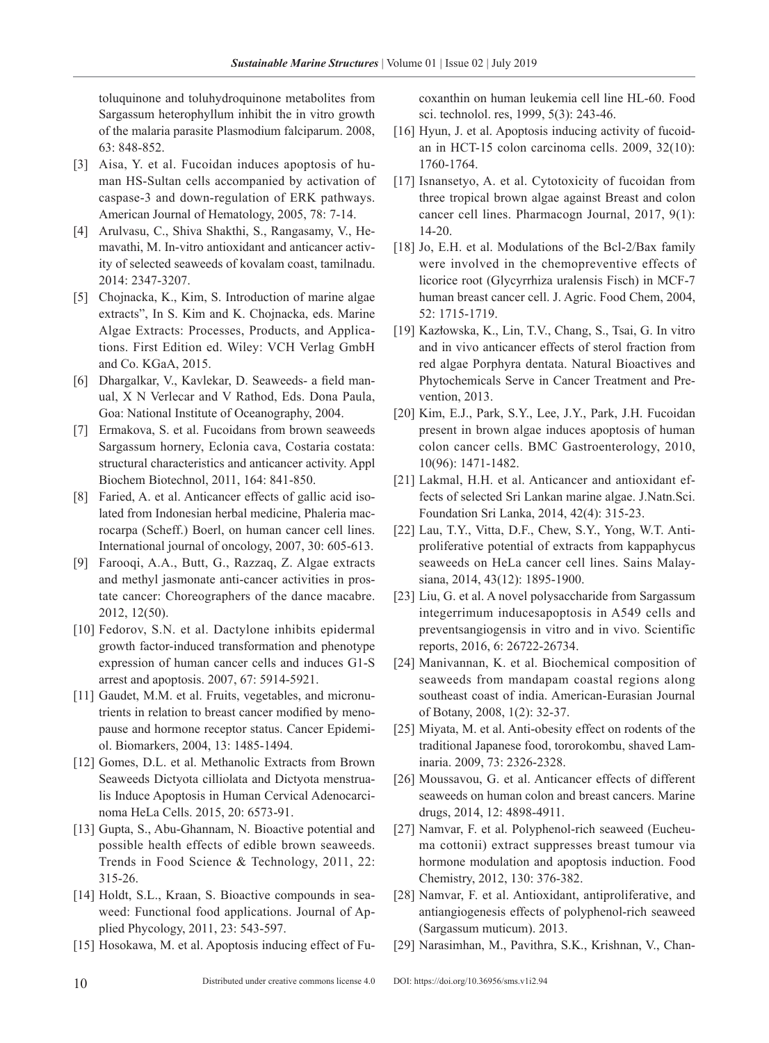toluquinone and toluhydroquinone metabolites from Sargassum heterophyllum inhibit the in vitro growth of the malaria parasite Plasmodium falciparum. 2008, 63: 848-852.

- [3] Aisa, Y. et al. Fucoidan induces apoptosis of human HS-Sultan cells accompanied by activation of caspase-3 and down-regulation of ERK pathways. American Journal of Hematology, 2005, 78: 7-14.
- [4] Arulvasu, C., Shiva Shakthi, S., Rangasamy, V., Hemavathi, M. In-vitro antioxidant and anticancer activity of selected seaweeds of kovalam coast, tamilnadu. 2014: 2347-3207.
- [5] Chojnacka, K., Kim, S. Introduction of marine algae extracts", In S. Kim and K. Chojnacka, eds. Marine Algae Extracts: Processes, Products, and Applications. First Edition ed. Wiley: VCH Verlag GmbH and Co. KGaA, 2015.
- [6] Dhargalkar, V., Kavlekar, D. Seaweeds- a field manual, X N Verlecar and V Rathod, Eds. Dona Paula, Goa: National Institute of Oceanography, 2004.
- [7] Ermakova, S. et al. Fucoidans from brown seaweeds Sargassum hornery, Eclonia cava, Costaria costata: structural characteristics and anticancer activity. Appl Biochem Biotechnol, 2011, 164: 841-850.
- [8] Faried, A. et al. Anticancer effects of gallic acid isolated from Indonesian herbal medicine, Phaleria macrocarpa (Scheff.) Boerl, on human cancer cell lines. International journal of oncology, 2007, 30: 605-613.
- [9] Farooqi, A.A., Butt, G., Razzaq, Z. Algae extracts and methyl jasmonate anti-cancer activities in prostate cancer: Choreographers of the dance macabre. 2012, 12(50).
- [10] Fedorov, S.N. et al. Dactylone inhibits epidermal growth factor-induced transformation and phenotype expression of human cancer cells and induces G1-S arrest and apoptosis. 2007, 67: 5914-5921.
- [11] Gaudet, M.M. et al. Fruits, vegetables, and micronutrients in relation to breast cancer modified by menopause and hormone receptor status. Cancer Epidemiol. Biomarkers, 2004, 13: 1485-1494.
- [12] Gomes, D.L. et al. Methanolic Extracts from Brown Seaweeds Dictyota cilliolata and Dictyota menstrualis Induce Apoptosis in Human Cervical Adenocarcinoma HeLa Cells. 2015, 20: 6573-91.
- [13] Gupta, S., Abu-Ghannam, N. Bioactive potential and possible health effects of edible brown seaweeds. Trends in Food Science & Technology, 2011, 22: 315-26.
- [14] Holdt, S.L., Kraan, S. Bioactive compounds in seaweed: Functional food applications. Journal of Applied Phycology, 2011, 23: 543-597.
- [15] Hosokawa, M. et al. Apoptosis inducing effect of Fu-

coxanthin on human leukemia cell line HL-60. Food sci. technolol. res, 1999, 5(3): 243-46.

- [16] Hyun, J. et al. Apoptosis inducing activity of fucoidan in HCT-15 colon carcinoma cells. 2009, 32(10): 1760-1764.
- [17] Isnansetyo, A. et al. Cytotoxicity of fucoidan from three tropical brown algae against Breast and colon cancer cell lines. Pharmacogn Journal, 2017, 9(1): 14-20.
- [18] Jo, E.H. et al. Modulations of the Bcl-2/Bax family were involved in the chemopreventive effects of licorice root (Glycyrrhiza uralensis Fisch) in MCF-7 human breast cancer cell. J. Agric. Food Chem, 2004, 52: 1715-1719.
- [19] Kazłowska, K., Lin, T.V., Chang, S., Tsai, G. In vitro and in vivo anticancer effects of sterol fraction from red algae Porphyra dentata. Natural Bioactives and Phytochemicals Serve in Cancer Treatment and Prevention, 2013.
- [20] Kim, E.J., Park, S.Y., Lee, J.Y., Park, J.H. Fucoidan present in brown algae induces apoptosis of human colon cancer cells. BMC Gastroenterology, 2010, 10(96): 1471-1482.
- [21] Lakmal, H.H. et al. Anticancer and antioxidant effects of selected Sri Lankan marine algae. J.Natn.Sci. Foundation Sri Lanka, 2014, 42(4): 315-23.
- [22] Lau, T.Y., Vitta, D.F., Chew, S.Y., Yong, W.T. Antiproliferative potential of extracts from kappaphycus seaweeds on HeLa cancer cell lines. Sains Malaysiana, 2014, 43(12): 1895-1900.
- [23] Liu, G. et al. A novel polysaccharide from Sargassum integerrimum inducesapoptosis in A549 cells and preventsangiogensis in vitro and in vivo. Scientific reports, 2016, 6: 26722-26734.
- [24] Manivannan, K. et al. Biochemical composition of seaweeds from mandapam coastal regions along southeast coast of india. American-Eurasian Journal of Botany, 2008, 1(2): 32-37.
- [25] Miyata, M. et al. Anti-obesity effect on rodents of the traditional Japanese food, tororokombu, shaved Laminaria. 2009, 73: 2326-2328.
- [26] Moussavou, G. et al. Anticancer effects of different seaweeds on human colon and breast cancers. Marine drugs, 2014, 12: 4898-4911.
- [27] Namvar, F. et al. Polyphenol-rich seaweed (Eucheuma cottonii) extract suppresses breast tumour via hormone modulation and apoptosis induction. Food Chemistry, 2012, 130: 376-382.
- [28] Namvar, F. et al. Antioxidant, antiproliferative, and antiangiogenesis effects of polyphenol-rich seaweed (Sargassum muticum). 2013.
- [29] Narasimhan, M., Pavithra, S.K., Krishnan, V., Chan-